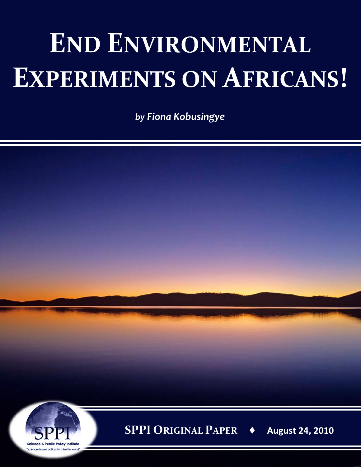## **END ENVIRONMENTAL EXPERIMENTS ON AFRICANS!**

*by Fiona Kobusingye*

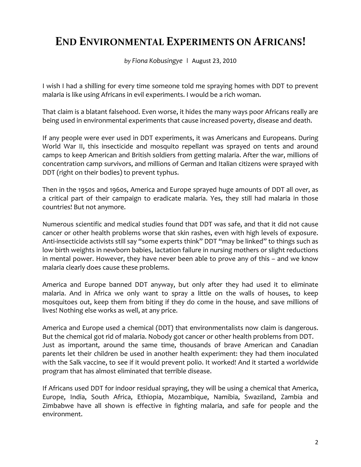## **END ENVIRONMENTAL EXPERIMENTS ON AFRICANS!**

*by Fiona Kobusingye* **|** August 23, 2010

I wish I had a shilling for every time someone told me spraying homes with DDT to prevent malaria is like using Africans in evil experiments. I would be a rich woman.

That claim is a blatant falsehood. Even worse, it hides the many ways poor Africans really are being used in environmental experiments that cause increased poverty, disease and death.

If any people were ever used in DDT experiments, it was Americans and Europeans. During World War II, this insecticide and mosquito repellant was sprayed on tents and around camps to keep American and British soldiers from getting malaria. After the war, millions of concentration camp survivors, and millions of German and Italian citizens were sprayed with DDT (right on their bodies) to prevent typhus.

Then in the 1950s and 1960s, America and Europe sprayed huge amounts of DDT all over, as a critical part of their campaign to eradicate malaria. Yes, they still had malaria in those countries! But not anymore.

Numerous scientific and medical studies found that DDT was safe, and that it did not cause cancer or other health problems worse that skin rashes, even with high levels of exposure. Anti-insecticide activists still say "some experts think" DDT "may be linked" to things such as low birth weights in newborn babies, lactation failure in nursing mothers or slight reductions in mental power. However, they have never been able to prove any of this – and we know malaria clearly does cause these problems.

America and Europe banned DDT anyway, but only after they had used it to eliminate malaria. And in Africa we only want to spray a little on the walls of houses, to keep mosquitoes out, keep them from biting if they do come in the house, and save millions of lives! Nothing else works as well, at any price.

America and Europe used a chemical (DDT) that environmentalists now claim is dangerous. But the chemical got rid of malaria. Nobody got cancer or other health problems from DDT. Just as important, around the same time, thousands of brave American and Canadian parents let their children be used in another health experiment: they had them inoculated with the Salk vaccine, to see if it would prevent polio. It worked! And it started a worldwide program that has almost eliminated that terrible disease.

If Africans used DDT for indoor residual spraying, they will be using a chemical that America, Europe, India, South Africa, Ethiopia, Mozambique, Namibia, Swaziland, Zambia and Zimbabwe have all shown is effective in fighting malaria, and safe for people and the environment.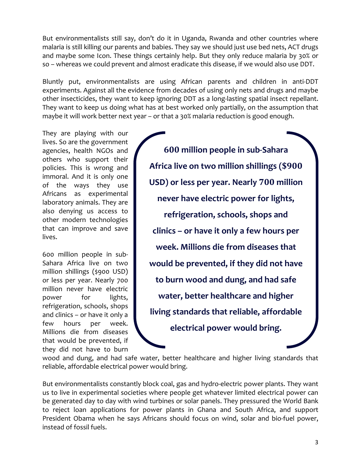But environmentalists still say, don't do it in Uganda, Rwanda and other countries where malaria is still killing our parents and babies. They say we should just use bed nets, ACT drugs and maybe some Icon. These things certainly help. But they only reduce malaria by 30% or so – whereas we could prevent and almost eradicate this disease, if we would also use DDT.

Bluntly put, environmentalists are using African parents and children in anti-DDT experiments. Against all the evidence from decades of using only nets and drugs and maybe other insecticides, they want to keep ignoring DDT as a long-lasting spatial insect repellant. They want to keep us doing what has at best worked only partially, on the assumption that maybe it will work better next year – or that a 30% malaria reduction is good enough.

They are playing with our lives. So are the government agencies, health NGOs and others who support their policies. This is wrong and immoral. And it is only one of the ways they use Africans as experimental laboratory animals. They are also denying us access to other modern technologies that can improve and save lives.

600 million people in sub-Sahara Africa live on two million shillings (\$900 USD) or less per year. Nearly 700 million never have electric power for lights, refrigeration, schools, shops and clinics – or have it only a few hours per week. Millions die from diseases that would be prevented, if they did not have to burn

**600 million people in sub-Sahara Africa live on two million shillings (\$900 USD) or less per year. Nearly 700 million never have electric power for lights, refrigeration, schools, shops and clinics – or have it only a few hours per week. Millions die from diseases that would be prevented, if they did not have to burn wood and dung, and had safe water, better healthcare and higher living standards that reliable, affordable electrical power would bring.**

wood and dung, and had safe water, better healthcare and higher living standards that reliable, affordable electrical power would bring.

But environmentalists constantly block coal, gas and hydro-electric power plants. They want us to live in experimental societies where people get whatever limited electrical power can be generated day to day with wind turbines or solar panels. They pressured the World Bank to reject loan applications for power plants in Ghana and South Africa, and support President Obama when he says Africans should focus on wind, solar and bio-fuel power, instead of fossil fuels.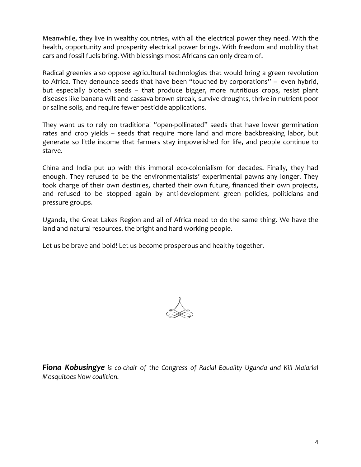Meanwhile, they live in wealthy countries, with all the electrical power they need. With the health, opportunity and prosperity electrical power brings. With freedom and mobility that cars and fossil fuels bring. With blessings most Africans can only dream of.

Radical greenies also oppose agricultural technologies that would bring a green revolution to Africa. They denounce seeds that have been "touched by corporations" – even hybrid, but especially biotech seeds – that produce bigger, more nutritious crops, resist plant diseases like banana wilt and cassava brown streak, survive droughts, thrive in nutrient-poor or saline soils, and require fewer pesticide applications.

They want us to rely on traditional "open-pollinated" seeds that have lower germination rates and crop yields – seeds that require more land and more backbreaking labor, but generate so little income that farmers stay impoverished for life, and people continue to starve.

China and India put up with this immoral eco-colonialism for decades. Finally, they had enough. They refused to be the environmentalists' experimental pawns any longer. They took charge of their own destinies, charted their own future, financed their own projects, and refused to be stopped again by anti-development green policies, politicians and pressure groups.

Uganda, the Great Lakes Region and all of Africa need to do the same thing. We have the land and natural resources, the bright and hard working people.

Let us be brave and bold! Let us become prosperous and healthy together.



*Fiona Kobusingye is co-chair of the Congress of Racial Equality Uganda and Kill Malarial Mosquitoes Now coalition.*